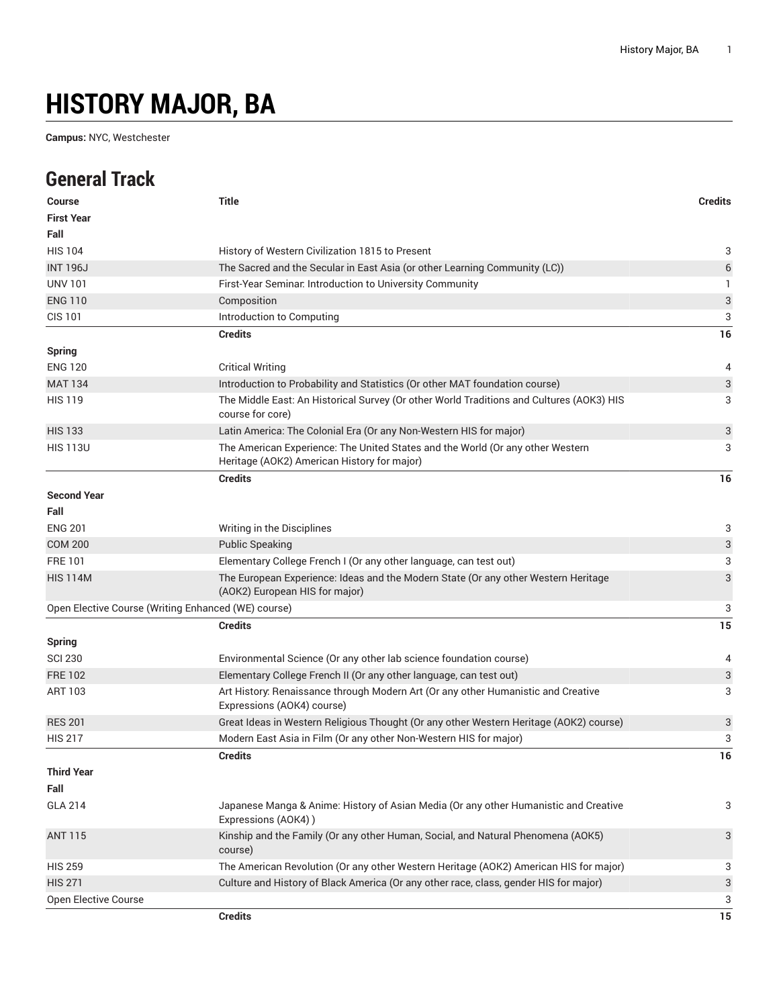## **HISTORY MAJOR, BA**

**Campus:** NYC, Westchester

## **General Track**

| <b>Course</b>                                       | <b>Title</b>                                                                                                                  | <b>Credits</b> |
|-----------------------------------------------------|-------------------------------------------------------------------------------------------------------------------------------|----------------|
| <b>First Year</b>                                   |                                                                                                                               |                |
| Fall                                                |                                                                                                                               |                |
| <b>HIS 104</b>                                      | History of Western Civilization 1815 to Present                                                                               | 3              |
| <b>INT 196J</b>                                     | The Sacred and the Secular in East Asia (or other Learning Community (LC))                                                    | 6              |
| <b>UNV 101</b>                                      | First-Year Seminar. Introduction to University Community                                                                      | 1              |
| <b>ENG 110</b>                                      | Composition                                                                                                                   | 3              |
| <b>CIS 101</b>                                      | Introduction to Computing                                                                                                     | 3              |
|                                                     | <b>Credits</b>                                                                                                                | 16             |
| <b>Spring</b>                                       |                                                                                                                               |                |
| <b>ENG 120</b>                                      | <b>Critical Writing</b>                                                                                                       | 4              |
| <b>MAT 134</b>                                      | Introduction to Probability and Statistics (Or other MAT foundation course)                                                   | 3              |
| <b>HIS 119</b>                                      | The Middle East: An Historical Survey (Or other World Traditions and Cultures (AOK3) HIS<br>course for core)                  | 3              |
| <b>HIS 133</b>                                      | Latin America: The Colonial Era (Or any Non-Western HIS for major)                                                            | 3              |
| <b>HIS 113U</b>                                     | The American Experience: The United States and the World (Or any other Western<br>Heritage (AOK2) American History for major) | 3              |
|                                                     | <b>Credits</b>                                                                                                                | 16             |
| <b>Second Year</b>                                  |                                                                                                                               |                |
| Fall                                                |                                                                                                                               |                |
| <b>ENG 201</b>                                      | Writing in the Disciplines                                                                                                    | 3              |
| <b>COM 200</b>                                      | <b>Public Speaking</b>                                                                                                        | 3              |
| <b>FRE101</b>                                       | Elementary College French I (Or any other language, can test out)                                                             | 3              |
| <b>HIS 114M</b>                                     | The European Experience: Ideas and the Modern State (Or any other Western Heritage<br>(AOK2) European HIS for major)          | 3              |
| Open Elective Course (Writing Enhanced (WE) course) |                                                                                                                               | 3              |
|                                                     | <b>Credits</b>                                                                                                                | 15             |
| <b>Spring</b>                                       |                                                                                                                               |                |
| <b>SCI 230</b>                                      | Environmental Science (Or any other lab science foundation course)                                                            | 4              |
| <b>FRE 102</b>                                      | Elementary College French II (Or any other language, can test out)                                                            | 3              |
| ART 103                                             | Art History: Renaissance through Modern Art (Or any other Humanistic and Creative<br>Expressions (AOK4) course)               | 3              |
| <b>RES 201</b>                                      | Great Ideas in Western Religious Thought (Or any other Western Heritage (AOK2) course)                                        | 3              |
| <b>HIS 217</b>                                      | Modern East Asia in Film (Or any other Non-Western HIS for major)                                                             | 3              |
|                                                     | <b>Credits</b>                                                                                                                | 16             |
| <b>Third Year</b>                                   |                                                                                                                               |                |
| Fall                                                |                                                                                                                               |                |
| <b>GLA 214</b>                                      | Japanese Manga & Anime: History of Asian Media (Or any other Humanistic and Creative<br>Expressions (AOK4))                   | 3              |
| <b>ANT 115</b>                                      | Kinship and the Family (Or any other Human, Social, and Natural Phenomena (AOK5)<br>course)                                   | 3              |
| <b>HIS 259</b>                                      | The American Revolution (Or any other Western Heritage (AOK2) American HIS for major)                                         | 3              |
| <b>HIS 271</b>                                      | Culture and History of Black America (Or any other race, class, gender HIS for major)                                         | 3              |
| Open Elective Course                                |                                                                                                                               | 3              |
|                                                     | <b>Credits</b>                                                                                                                | 15             |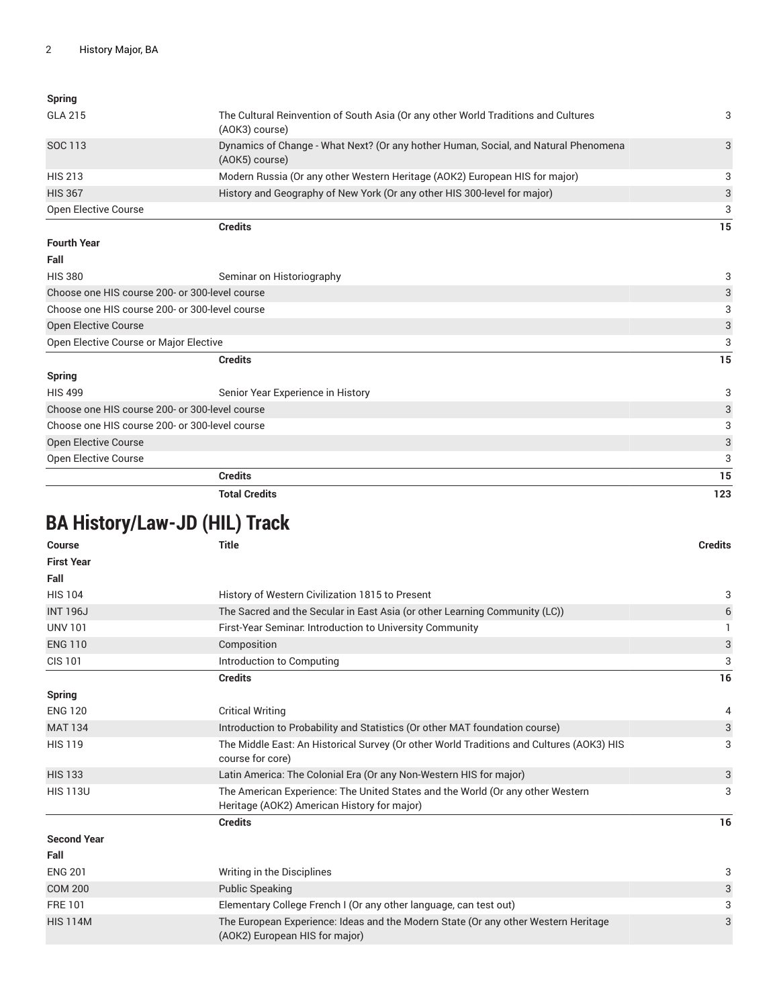| <b>Spring</b>                                  |                                                                                                       |     |
|------------------------------------------------|-------------------------------------------------------------------------------------------------------|-----|
| <b>GLA 215</b>                                 | The Cultural Reinvention of South Asia (Or any other World Traditions and Cultures<br>(AOK3) course)  | 3   |
| SOC 113                                        | Dynamics of Change - What Next? (Or any hother Human, Social, and Natural Phenomena<br>(AOK5) course) | 3   |
| <b>HIS 213</b>                                 | Modern Russia (Or any other Western Heritage (AOK2) European HIS for major)                           | 3   |
| <b>HIS 367</b>                                 | History and Geography of New York (Or any other HIS 300-level for major)                              | 3   |
| <b>Open Elective Course</b>                    |                                                                                                       | 3   |
|                                                | <b>Credits</b>                                                                                        | 15  |
| <b>Fourth Year</b>                             |                                                                                                       |     |
| Fall                                           |                                                                                                       |     |
| <b>HIS 380</b>                                 | Seminar on Historiography                                                                             | 3   |
| Choose one HIS course 200- or 300-level course |                                                                                                       |     |
| Choose one HIS course 200- or 300-level course |                                                                                                       | 3   |
| Open Elective Course                           |                                                                                                       | 3   |
| Open Elective Course or Major Elective         |                                                                                                       | 3   |
|                                                | <b>Credits</b>                                                                                        | 15  |
| <b>Spring</b>                                  |                                                                                                       |     |
| <b>HIS 499</b>                                 | Senior Year Experience in History                                                                     | 3   |
| Choose one HIS course 200- or 300-level course |                                                                                                       | 3   |
| Choose one HIS course 200- or 300-level course |                                                                                                       | 3   |
| <b>Open Elective Course</b>                    |                                                                                                       |     |
| Open Elective Course                           |                                                                                                       | 3   |
|                                                | <b>Credits</b>                                                                                        | 15  |
| <b>Total Credits</b>                           |                                                                                                       | 123 |

## **BA History/Law-JD (HIL) Track**

| <b>Course</b>      | <b>Title</b>                                                                                                                  | <b>Credits</b> |
|--------------------|-------------------------------------------------------------------------------------------------------------------------------|----------------|
| <b>First Year</b>  |                                                                                                                               |                |
| Fall               |                                                                                                                               |                |
| <b>HIS 104</b>     | History of Western Civilization 1815 to Present                                                                               | 3              |
| <b>INT 196J</b>    | The Sacred and the Secular in East Asia (or other Learning Community (LC))                                                    | 6              |
| <b>UNV 101</b>     | First-Year Seminar. Introduction to University Community                                                                      |                |
| <b>ENG 110</b>     | Composition                                                                                                                   | 3              |
| <b>CIS 101</b>     | Introduction to Computing                                                                                                     | 3              |
|                    | <b>Credits</b>                                                                                                                | 16             |
| <b>Spring</b>      |                                                                                                                               |                |
| <b>ENG 120</b>     | <b>Critical Writing</b>                                                                                                       | 4              |
| <b>MAT 134</b>     | Introduction to Probability and Statistics (Or other MAT foundation course)                                                   | 3              |
| <b>HIS 119</b>     | The Middle East: An Historical Survey (Or other World Traditions and Cultures (AOK3) HIS<br>course for core)                  | 3              |
| <b>HIS 133</b>     | Latin America: The Colonial Era (Or any Non-Western HIS for major)                                                            | 3              |
| <b>HIS 113U</b>    | The American Experience: The United States and the World (Or any other Western<br>Heritage (AOK2) American History for major) | 3              |
|                    | <b>Credits</b>                                                                                                                | 16             |
| <b>Second Year</b> |                                                                                                                               |                |
| Fall               |                                                                                                                               |                |
| <b>ENG 201</b>     | Writing in the Disciplines                                                                                                    | 3              |
| <b>COM 200</b>     | <b>Public Speaking</b>                                                                                                        | 3              |
| <b>FRE101</b>      | Elementary College French I (Or any other language, can test out)                                                             | 3              |
| <b>HIS 114M</b>    | The European Experience: Ideas and the Modern State (Or any other Western Heritage<br>(AOK2) European HIS for major)          | 3              |